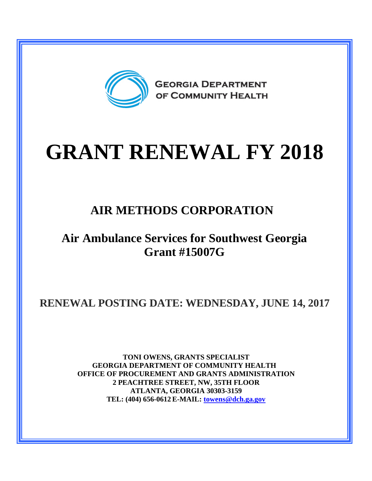

# **GRANT RENEWAL FY 2018**

## **AIR METHODS CORPORATION**

## **Air Ambulance Services for Southwest Georgia Grant #15007G**

**RENEWAL POSTING DATE: WEDNESDAY, JUNE 14, 2017**

**TONI OWENS, GRANTS SPECIALIST GEORGIA DEPARTMENT OF COMMUNITY HEALTH OFFICE OF PROCUREMENT AND GRANTS ADMINISTRATION 2 PEACHTREE STREET, NW, 35TH FLOOR ATLANTA, GEORGIA 30303-3159 TEL: (404) 656-0612 E-MAIL: [towens@dch.ga.gov](mailto:towens@dch.ga.gov)**